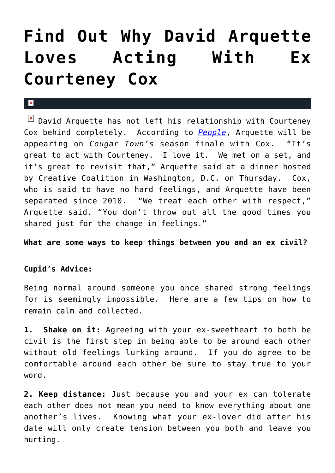## **[Find Out Why David Arquette](https://cupidspulse.com/30669/find-out-why-david-arquette-loves-acting-with-ex-courteney-cox/) [Loves Acting With Ex](https://cupidspulse.com/30669/find-out-why-david-arquette-loves-acting-with-ex-courteney-cox/) [Courteney Cox](https://cupidspulse.com/30669/find-out-why-david-arquette-loves-acting-with-ex-courteney-cox/)**

## $\mathbf x$

 $\boxed{\times}$  David Arquette has not left his relationship with Courteney Cox behind completely. According to *[People](http://www.people.com/people/)*, Arquette will be appearing on *Cougar Town's* season finale with Cox. "It's great to act with Courteney. I love it. We met on a set, and it's great to revisit that," Arquette said at a dinner hosted by Creative Coalition in Washington, D.C. on Thursday. Cox, who is said to have no hard feelings, and Arquette have been separated since 2010. "We treat each other with respect," Arquette said. "You don't throw out all the good times you shared just for the change in feelings."

## **What are some ways to keep things between you and an ex civil?**

## **Cupid's Advice:**

Being normal around someone you once shared strong feelings for is seemingly impossible. Here are a few tips on how to remain calm and collected.

**1. Shake on it:** Agreeing with your ex-sweetheart to both be civil is the first step in being able to be around each other without old feelings lurking around. If you do agree to be comfortable around each other be sure to stay true to your word.

**2. Keep distance:** Just because you and your ex can tolerate each other does not mean you need to know everything about one another's lives. Knowing what your ex-lover did after his date will only create tension between you both and leave you hurting.